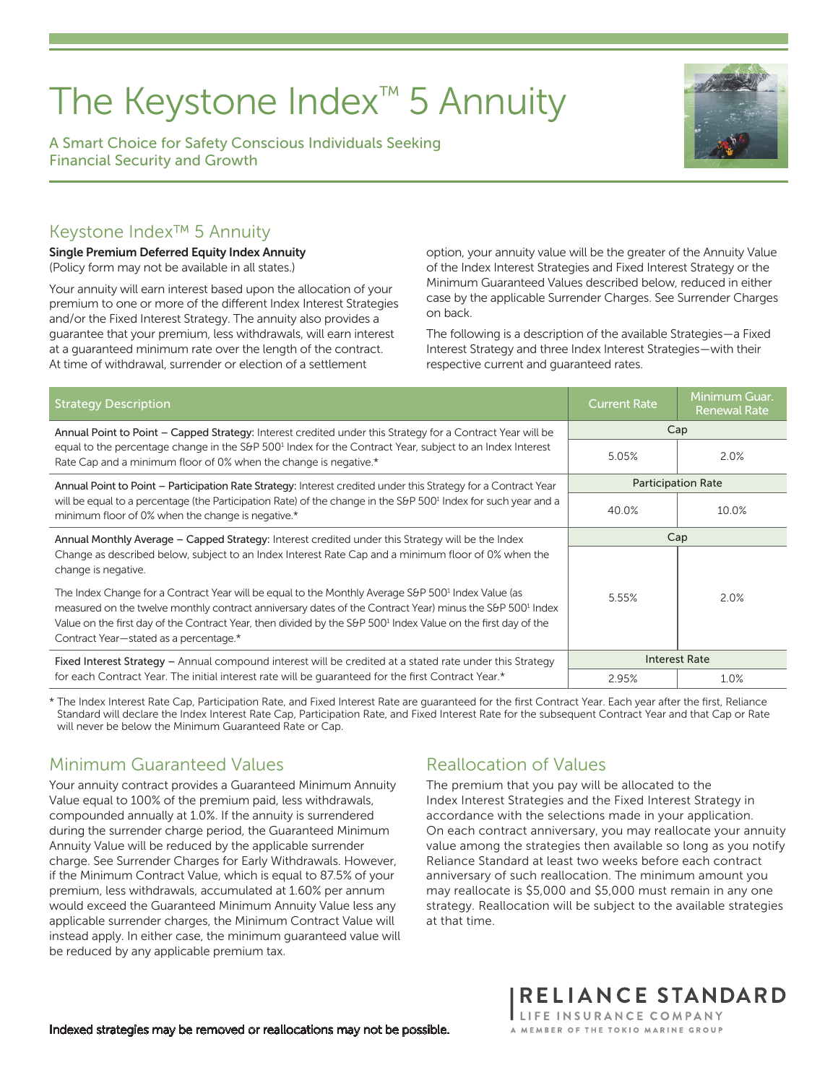# The Keystone Index™ 5 Annuity

A Smart Choice for Safety Conscious Individuals Seeking Financial Security and Growth



#### Keystone Index™ 5 Annuity

Single Premium Deferred Equity Index Annuity (Policy form may not be available in all states.)

Your annuity will earn interest based upon the allocation of your premium to one or more of the different Index Interest Strategies and/or the Fixed Interest Strategy. The annuity also provides a guarantee that your premium, less withdrawals, will earn interest at a guaranteed minimum rate over the length of the contract. At time of withdrawal, surrender or election of a settlement

option, your annuity value will be the greater of the Annuity Value of the Index Interest Strategies and Fixed Interest Strategy or the Minimum Guaranteed Values described below, reduced in either case by the applicable Surrender Charges. See Surrender Charges on back.

The following is a description of the available Strategies—a Fixed Interest Strategy and three Index Interest Strategies—with their respective current and guaranteed rates.

| <b>Strategy Description</b>                                                                                                                                                                                                                                                                                                                                                                                   | <b>Current Rate</b>       | Minimum Guar.<br><b>Renewal Rate</b> |
|---------------------------------------------------------------------------------------------------------------------------------------------------------------------------------------------------------------------------------------------------------------------------------------------------------------------------------------------------------------------------------------------------------------|---------------------------|--------------------------------------|
| Annual Point to Point – Capped Strategy: Interest credited under this Strategy for a Contract Year will be                                                                                                                                                                                                                                                                                                    | Cap                       |                                      |
| equal to the percentage change in the S&P 500 <sup>1</sup> Index for the Contract Year, subject to an Index Interest<br>Rate Cap and a minimum floor of 0% when the change is negative.*                                                                                                                                                                                                                      | 5.05%                     | 2.0%                                 |
| Annual Point to Point – Participation Rate Strategy: Interest credited under this Strategy for a Contract Year                                                                                                                                                                                                                                                                                                | <b>Participation Rate</b> |                                      |
| will be equal to a percentage (the Participation Rate) of the change in the S&P 500 <sup>1</sup> Index for such year and a<br>minimum floor of 0% when the change is negative.*                                                                                                                                                                                                                               | 40.0%                     | 10.0%                                |
| Annual Monthly Average – Capped Strategy: Interest credited under this Strategy will be the Index                                                                                                                                                                                                                                                                                                             | Cap                       |                                      |
| Change as described below, subject to an Index Interest Rate Cap and a minimum floor of 0% when the<br>change is negative.                                                                                                                                                                                                                                                                                    |                           |                                      |
| The Index Change for a Contract Year will be equal to the Monthly Average S&P 500 <sup>1</sup> Index Value (as<br>measured on the twelve monthly contract anniversary dates of the Contract Year) minus the S&P 500 <sup>1</sup> Index<br>Value on the first day of the Contract Year, then divided by the S&P 500 <sup>1</sup> Index Value on the first day of the<br>Contract Year-stated as a percentage.* | 5.55%                     | 2.0%                                 |
| Fixed Interest Strategy - Annual compound interest will be credited at a stated rate under this Strategy                                                                                                                                                                                                                                                                                                      | <b>Interest Rate</b>      |                                      |
| for each Contract Year. The initial interest rate will be quaranteed for the first Contract Year.*                                                                                                                                                                                                                                                                                                            | 2.95%                     | 1.0%                                 |

\* The Index Interest Rate Cap, Participation Rate, and Fixed Interest Rate are guaranteed for the first Contract Year. Each year after the first, Reliance Standard will declare the Index Interest Rate Cap, Participation Rate, and Fixed Interest Rate for the subsequent Contract Year and that Cap or Rate will never be below the Minimum Guaranteed Rate or Cap.

## Minimum Guaranteed Values

Your annuity contract provides a Guaranteed Minimum Annuity Value equal to 100% of the premium paid, less withdrawals, compounded annually at 1.0%. If the annuity is surrendered during the surrender charge period, the Guaranteed Minimum Annuity Value will be reduced by the applicable surrender charge. See Surrender Charges for Early Withdrawals. However, if the Minimum Contract Value, which is equal to 87.5% of your premium, less withdrawals, accumulated at 1.60% per annum would exceed the Guaranteed Minimum Annuity Value less any applicable surrender charges, the Minimum Contract Value will instead apply. In either case, the minimum guaranteed value will be reduced by any applicable premium tax.

## Reallocation of Values

The premium that you pay will be allocated to the Index Interest Strategies and the Fixed Interest Strategy in accordance with the selections made in your application. On each contract anniversary, you may reallocate your annuity value among the strategies then available so long as you notify Reliance Standard at least two weeks before each contract anniversary of such reallocation. The minimum amount you may reallocate is \$5,000 and \$5,000 must remain in any one strategy. Reallocation will be subject to the available strategies at that time.

RELIANCE STANDARD

LIFE INSURANCE COMPANY A MEMBER OF THE TOKIO MARINE GROUP

Indexed strategies may be removed or reallocations may not be possible.